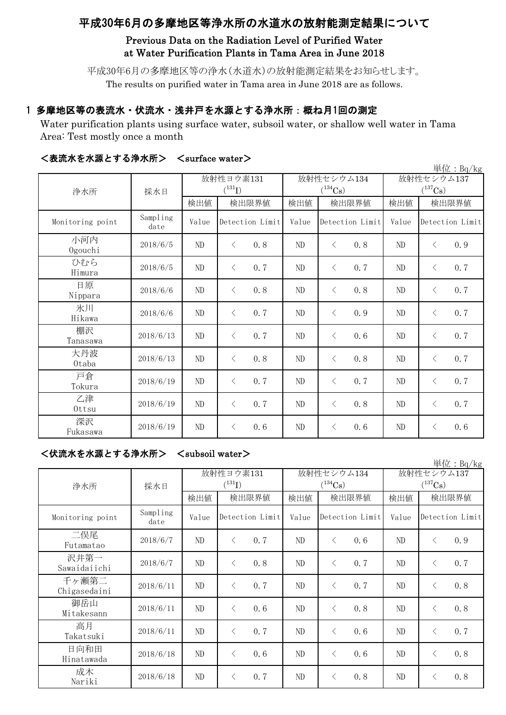# 平成30年6月の多摩地区等浄水所の水道水の放射能測定結果について

# Previous Data on the Radiation Level of Purified Water at Water Purification Plants in Tama Area in June 2018

平成30年6月の多摩地区等の浄水(水道水)の放射能測定結果をお知らせします。 The results on purified water in Tama area in June 2018 are as follows.

## 1 多摩地区等の表流水・伏流水・浅井戸を水源とする浄水所:概ね月1回の測定

Water purification plants using surface water, subsoil water, or shallow well water in Tama Area: Test mostly once a month

| 単位: $Bq/kg$      |                  |          |                  |       |                       |                       |                  |  |  |
|------------------|------------------|----------|------------------|-------|-----------------------|-----------------------|------------------|--|--|
| 浄水所              | 採水日              |          | 放射性ヨウ素131        |       | 放射性セシウム134            | 放射性セシウム137            |                  |  |  |
|                  |                  |          | $(^{131}I)$      |       | $(^{134}\mathrm{Cs})$ | $(^{137}\mathrm{Cs})$ |                  |  |  |
|                  |                  | 検出値      | 検出限界値            | 検出値   | 検出限界値                 | 検出値                   | 検出限界値            |  |  |
| Monitoring point | Sampling<br>date | Value    | Detection Limit  | Value | Detection Limit       | Value                 | Detection Limit  |  |  |
| 小河内<br>Ogouchi   | 2018/6/5         | $\rm ND$ | 0.8<br>$\langle$ | ND    | $\lt$<br>0.8          | ND                    | 0.9<br>$\langle$ |  |  |
| ひむら<br>Himura    | 2018/6/5         | $\rm ND$ | 0.7<br>$\langle$ | ND    | $\lt$<br>0.7          | ND                    | 0.7<br>$\langle$ |  |  |
| 日原<br>Nippara    | 2018/6/6         | $\rm ND$ | $\langle$<br>0.8 | ND    | $\lt$<br>0.8          | ND                    | 0.7<br>$\langle$ |  |  |
| 氷川<br>Hikawa     | 2018/6/6         | ND       | 0.7<br>$\langle$ | ND    | 0.9<br>$\langle$      | ND                    | 0.7<br>$\langle$ |  |  |
| 棚沢<br>Tanasawa   | 2018/6/13        | ND       | 0.7<br>$\lt$     | ND    | 0.6<br>$\langle$      | ND                    | 0.7<br>$\langle$ |  |  |
| 大丹波<br>0taba     | 2018/6/13        | ND       | 0.8<br>$\lt$     | ND    | 0.8<br>$\lt$          | ND                    | 0.7<br>$\langle$ |  |  |
| 戸倉<br>Tokura     | 2018/6/19        | $\rm ND$ | 0.7<br>$\lt$     | ND    | $\langle$<br>0.7      | ND                    | 0.7<br>$\langle$ |  |  |
| 乙津<br>Ottsu      | 2018/6/19        | ND       | 0.7<br>$\lt$     | ND    | $\langle$<br>0.8      | ND                    | 0.7<br>$\langle$ |  |  |
| 深沢<br>Fukasawa   | 2018/6/19        | $\rm ND$ | 0.6<br>$\lt$     | ND    | 0.6<br>$\lt$          | ND                    | 0.6<br>$\lt$     |  |  |

### <表流水を水源とする浄水所> <surface water>

# <伏流水を水源とする浄水所> <subsoil water>

|                       |                  |                          |                 |     |                                     |                 |     |                            |                 | 単位: Bq/kg |
|-----------------------|------------------|--------------------------|-----------------|-----|-------------------------------------|-----------------|-----|----------------------------|-----------------|-----------|
| 浄水所                   | 採水日              | 放射性ヨウ素131<br>$(^{131}I)$ |                 |     | 放射性セシウム134<br>$(^{134}\mathrm{Cs})$ |                 |     | 放射性セシウム137<br>$(^{137}Cs)$ |                 |           |
|                       |                  | 検出値                      | 検出限界値           |     | 検出値                                 | 検出限界値           |     | 検出値                        | 検出限界値           |           |
| Monitoring point      | Sampling<br>date | Value                    | Detection Limit |     | Value                               | Detection Limit |     | Value                      | Detection Limit |           |
| 二俣尾<br>Futamatao      | 2018/6/7         | ND                       | $\langle$       | 0.7 | ND                                  | $\lt$           | 0.6 | ND                         | $\lt$           | 0.9       |
| 沢井第一<br>Sawaidaiichi  | 2018/6/7         | ND                       | $\langle$       | 0.8 | ND                                  | $\langle$       | 0.7 | ND                         | $\langle$       | 0.7       |
| 千ヶ瀬第二<br>Chigasedaini | 2018/6/11        | ND                       | $\langle$       | 0.7 | ND                                  | $\langle$       | 0.7 | ND.                        | $\langle$       | 0.8       |
| 御岳山<br>Mitakesann     | 2018/6/11        | ND                       | $\langle$       | 0.6 | ND                                  | $\lt$           | 0.8 | ND                         | $\langle$       | 0.8       |
| 高月<br>Takatsuki       | 2018/6/11        | ND                       | $\lt$           | 0.7 | ND                                  | $\langle$       | 0.6 | ND                         | $\langle$       | 0.7       |
| 日向和田<br>Hinatawada    | 2018/6/18        | ND                       | $\langle$       | 0.6 | ND                                  | $\langle$       | 0.6 | ND                         | $\langle$       | 0.8       |
| 成木<br>Nariki          | 2018/6/18        | ND                       |                 | 0.7 | ND                                  | $\lt$           | 0.8 | ND                         | $\lt$           | 0.8       |